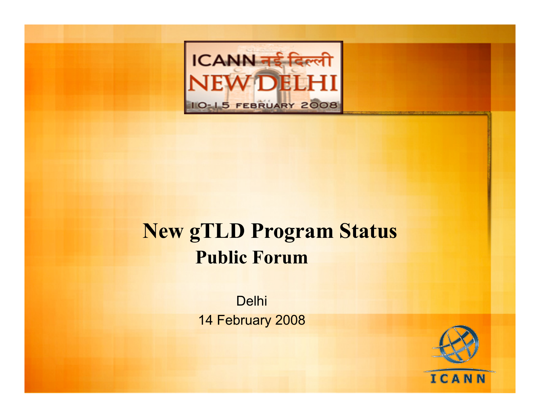

### **New gTLD Program Status Public Forum**

Delhi 14 February 2008

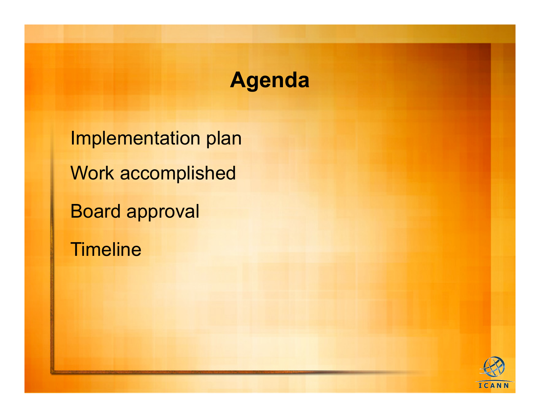## **Agenda**

Implementation plan Work accomplished Board approval **Timeline** 

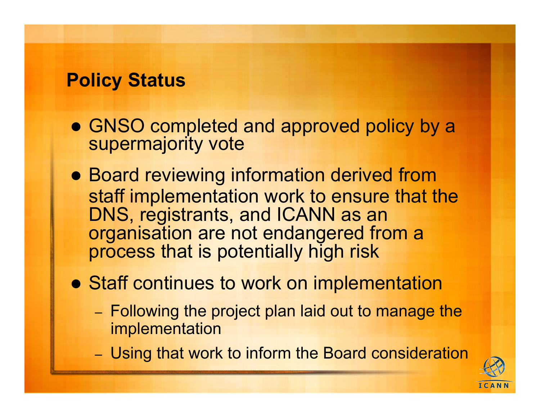#### **Policy Status**

- GNSO completed and approved policy by a supermajority vote
- Board reviewing information derived from staff implementation work to ensure that the DNS, registrants, and ICANN as an organisation are not endangered from a process that is potentially high risk
- **Staff continues to work on implementation** 
	- Following the project plan laid out to manage the implementation
	- Using that work to inform the Board consideration

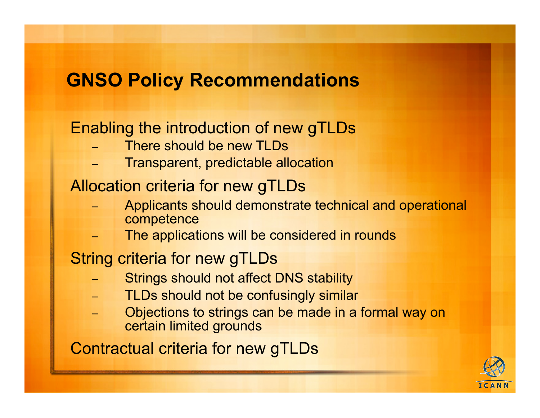### **GNSO Policy Recommendations**

#### Enabling the introduction of new gTLDs

- There should be new TLDs
- Transparent, predictable allocation

#### Allocation criteria for new gTLDs

- Applicants should demonstrate technical and operational competence
- The applications will be considered in rounds

#### String criteria for new gTLDs

- Strings should not affect DNS stability
- TLDs should not be confusingly similar
- Objections to strings can be made in a formal way on certain limited grounds

Contractual criteria for new gTLDs

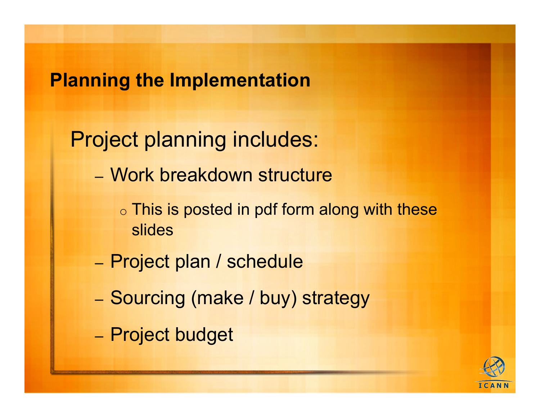#### **Planning the Implementation**

Project planning includes:

- Work breakdown structure
	- o This is posted in pdf form along with these slides
- Project plan / schedule
- Sourcing (make / buy) strategy
- Project budget

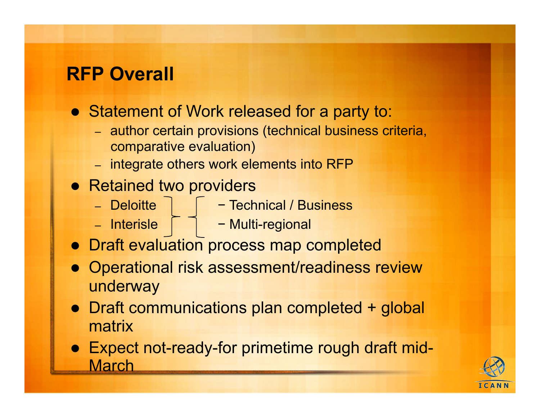### **RFP Overall**

- Statement of Work released for a party to:
	- author certain provisions (technical business criteria, comparative evaluation)
	- integrate others work elements into RFP
- Retained two providers
	-
	- Deloitte − Technical / Business
	-
	- Interisle − Multi-regional
- **Draft evaluation process map completed**
- Operational risk assessment/readiness review underway
- Draft communications plan completed + global matrix
- Expect not-ready-for primetime rough draft mid-**March**

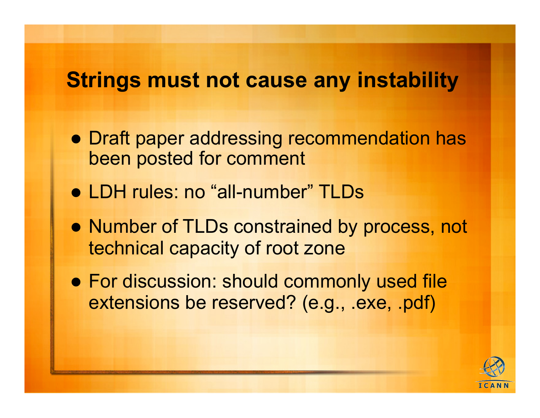### **Strings must not cause any instability**

- Draft paper addressing recommendation has been posted for comment
- LDH rules: no "all-number" TLDs
- Number of TLDs constrained by process, not technical capacity of root zone
- For discussion: should commonly used file extensions be reserved? (e.g., .exe, .pdf)

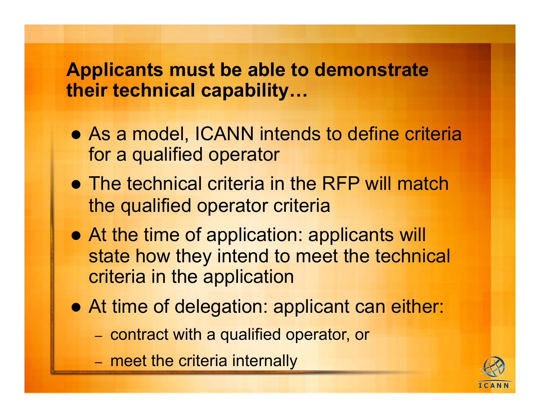#### **Applicants must be able to demonstrate their technical capability…**

- As a model, ICANN intends to define criteria for a qualified operator
- The technical criteria in the RFP will match the qualified operator criteria
- At the time of application: applicants will state how they intend to meet the technical criteria in the application
- At time of delegation: applicant can either:
	- contract with a qualified operator, or
	- meet the criteria internally

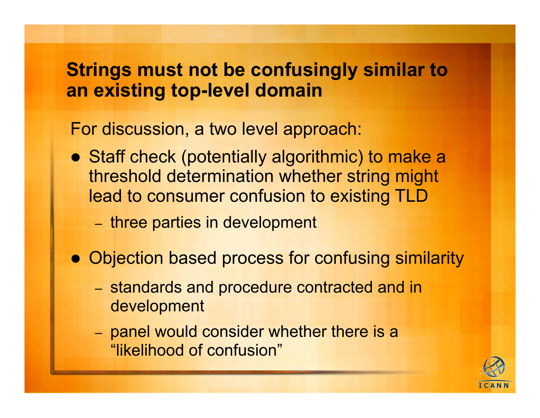#### **Strings must not be confusingly similar to an existing top-level domain**

For discussion, a two level approach:

- Staff check (potentially algorithmic) to make a threshold determination whether string might lead to consumer confusion to existing TLD
	- three parties in development
- Objection based process for confusing similarity
	- standards and procedure contracted and in development
	- panel would consider whether there is a "likelihood of confusion"

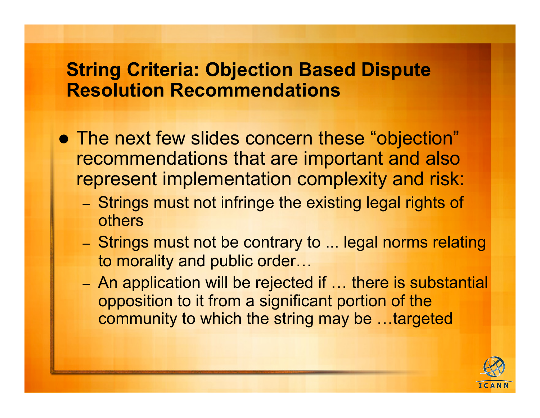#### **String Criteria: Objection Based Dispute Resolution Recommendations**

- The next few slides concern these "objection" recommendations that are important and also represent implementation complexity and risk:
	- Strings must not infringe the existing legal rights of others
	- Strings must not be contrary to ... legal norms relating to morality and public order…
	- An application will be rejected if … there is substantial opposition to it from a significant portion of the community to which the string may be …targeted

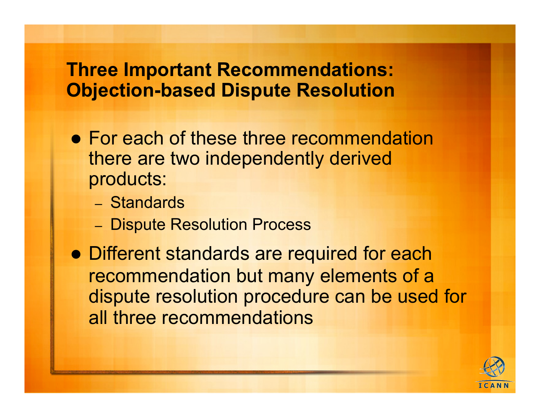#### **Three Important Recommendations: Objection-based Dispute Resolution**

- For each of these three recommendation there are two independently derived products:
	- Standards
	- Dispute Resolution Process
- Different standards are required for each recommendation but many elements of a dispute resolution procedure can be used for all three recommendations

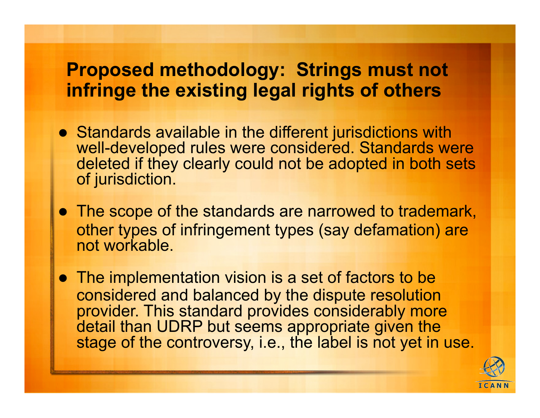#### **Proposed methodology: Strings must not infringe the existing legal rights of others**

- Standards available in the different jurisdictions with well-developed rules were considered. Standards were deleted if they clearly could not be adopted in both sets of jurisdiction.
- The scope of the standards are narrowed to trademark, other types of infringement types (say defamation) are not workable.
- The implementation vision is a set of factors to be considered and balanced by the dispute resolution provider. This standard provides considerably more detail than UDRP but seems appropriate given the stage of the controversy, i.e., the label is not yet in use.

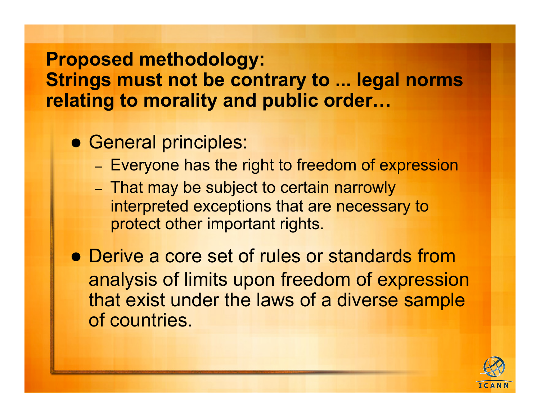#### **Proposed methodology:**

**Strings must not be contrary to ... legal norms relating to morality and public order…** 

- **General principles:** 
	- Everyone has the right to freedom of expression
	- That may be subject to certain narrowly interpreted exceptions that are necessary to protect other important rights.

• Derive a core set of rules or standards from analysis of limits upon freedom of expression that exist under the laws of a diverse sample of countries.

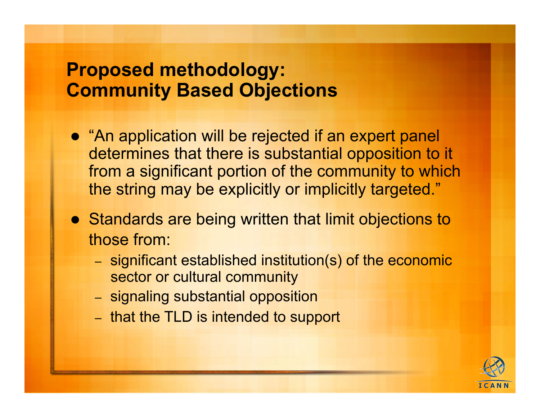#### **Proposed methodology: Community Based Objections**

- "An application will be rejected if an expert panel determines that there is substantial opposition to it from a significant portion of the community to which the string may be explicitly or implicitly targeted."
- Standards are being written that limit objections to those from:
	- significant established institution(s) of the economic sector or cultural community
	- signaling substantial opposition
	- that the TLD is intended to support

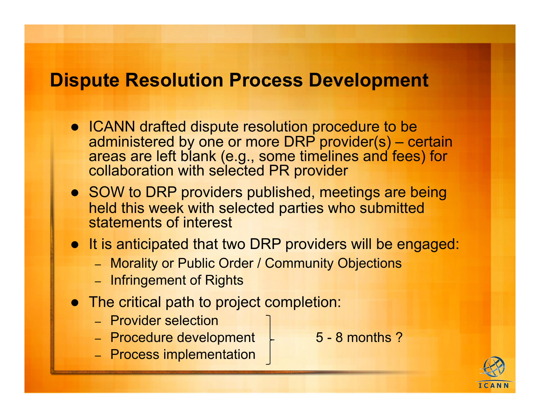#### **Dispute Resolution Process Development**

- ICANN drafted dispute resolution procedure to be administered by one or more DRP provider(s) – certain areas are left blank (e.g., some timelines and fees) for collaboration with selected PR provider
- SOW to DRP providers published, meetings are being held this week with selected parties who submitted statements of interest
- It is anticipated that two DRP providers will be engaged:
	- Morality or Public Order / Community Objections
	- Infringement of Rights
- The critical path to project completion:
	- Provider selection
	- Procedure development  $-$  5 8 months ?
	- Process implementation

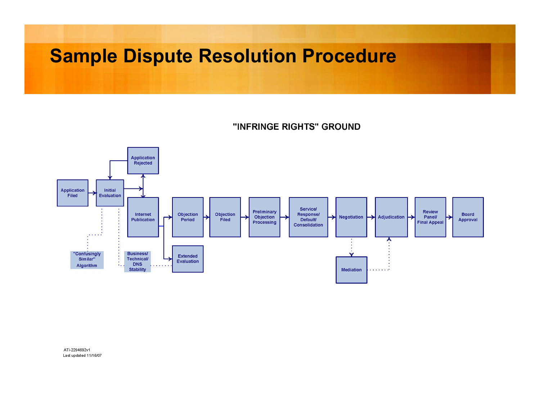#### **Sample Dispute Resolution Procedure**

"INFRINGE RIGHTS" GROUND



ATI-2294692v1 Last updated 11/16/07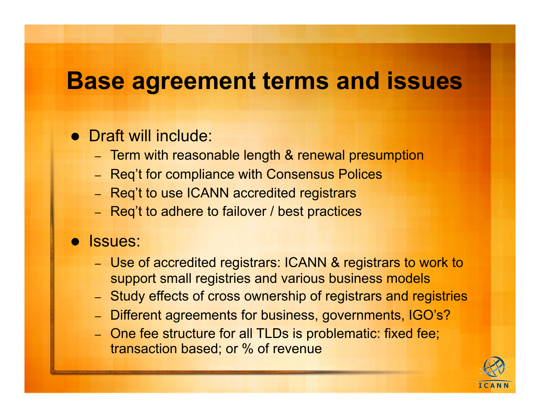# **Base agreement terms and issues**

#### • Draft will include:

- Term with reasonable length & renewal presumption
- Req't for compliance with Consensus Polices
- Req't to use ICANN accredited registrars
- Req't to adhere to failover / best practices

#### Issues:

- Use of accredited registrars: ICANN & registrars to work to support small registries and various business models
- Study effects of cross ownership of registrars and registries
- Different agreements for business, governments, IGO's?
- One fee structure for all TLDs is problematic: fixed fee; transaction based; or % of revenue

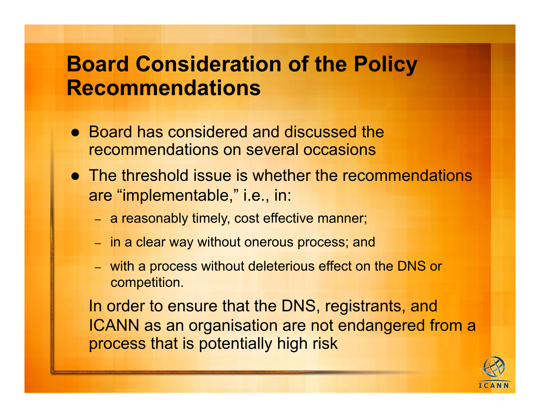### **Board Consideration of the Policy Recommendations**

- Board has considered and discussed the recommendations on several occasions
- The threshold issue is whether the recommendations are "implementable," i.e., in:
	- a reasonably timely, cost effective manner;
	- in a clear way without onerous process; and
	- with a process without deleterious effect on the DNS or competition.

 In order to ensure that the DNS, registrants, and ICANN as an organisation are not endangered from a process that is potentially high risk

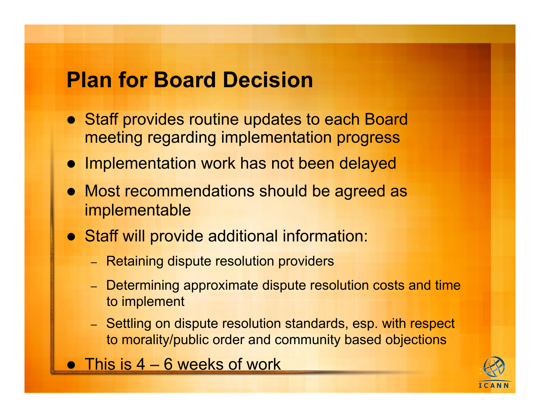## **Plan for Board Decision**

- Staff provides routine updates to each Board meeting regarding implementation progress
- Implementation work has not been delayed
- Most recommendations should be agreed as implementable
- Staff will provide additional information:
	- Retaining dispute resolution providers
	- Determining approximate dispute resolution costs and time to implement
	- Settling on dispute resolution standards, esp. with respect to morality/public order and community based objections
- **This is 4 6 weeks of work**

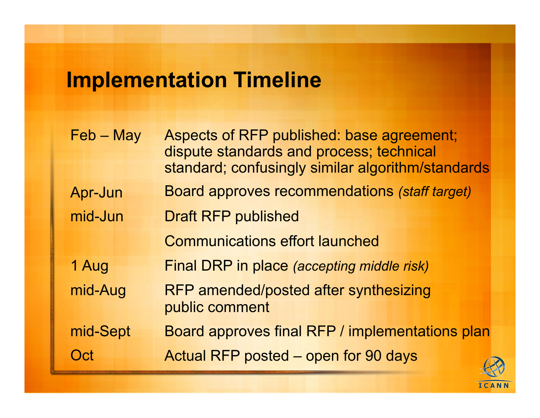# **Implementation Timeline**

| $Feb - May$ | Aspects of RFP published: base agreement;<br>dispute standards and process; technical<br>standard; confusingly similar algorithm/standards |
|-------------|--------------------------------------------------------------------------------------------------------------------------------------------|
| Apr-Jun     | <b>Board approves recommendations (staff target)</b>                                                                                       |
| mid-Jun     | <b>Draft RFP published</b>                                                                                                                 |
|             | <b>Communications effort launched</b>                                                                                                      |
| 1 Aug       | Final DRP in place (accepting middle risk)                                                                                                 |
| mid-Aug     | RFP amended/posted after synthesizing<br>public comment                                                                                    |
| mid-Sept    | Board approves final RFP / implementations plan                                                                                            |
| Oct         | Actual RFP posted - open for 90 days                                                                                                       |

ICANN